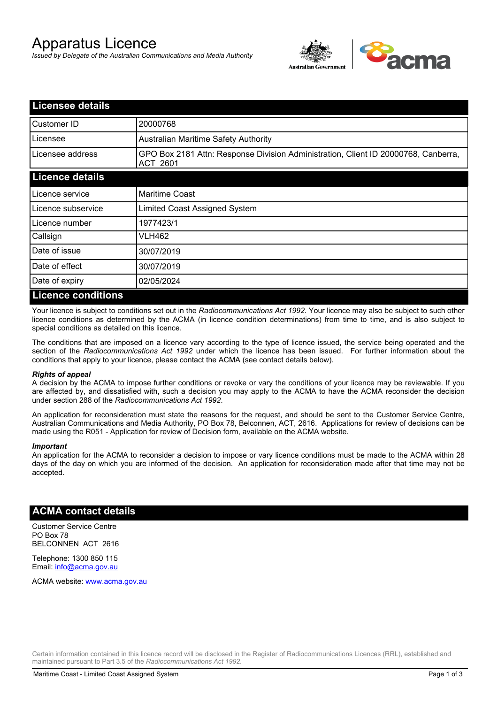# Apparatus Licence

*Issued by Delegate of the Australian Communications and Media Authority*



| <b>Licensee details</b>   |                                                                                                       |  |
|---------------------------|-------------------------------------------------------------------------------------------------------|--|
| Customer ID               | 20000768                                                                                              |  |
| Licensee                  | <b>Australian Maritime Safety Authority</b>                                                           |  |
| Licensee address          | GPO Box 2181 Attn: Response Division Administration, Client ID 20000768, Canberra,<br><b>ACT 2601</b> |  |
| <b>Licence details</b>    |                                                                                                       |  |
| Licence service           | <b>Maritime Coast</b>                                                                                 |  |
| Licence subservice        | Limited Coast Assigned System                                                                         |  |
| Licence number            | 1977423/1                                                                                             |  |
| Callsign                  | <b>VLH462</b>                                                                                         |  |
| Date of issue             | 30/07/2019                                                                                            |  |
| Date of effect            | 30/07/2019                                                                                            |  |
| Date of expiry            | 02/05/2024                                                                                            |  |
| <b>Licence conditions</b> |                                                                                                       |  |

Your licence is subject to conditions set out in the *Radiocommunications Act 1992*. Your licence may also be subject to such other licence conditions as determined by the ACMA (in licence condition determinations) from time to time, and is also subject to special conditions as detailed on this licence.

The conditions that are imposed on a licence vary according to the type of licence issued, the service being operated and the section of the *Radiocommunications Act 1992* under which the licence has been issued. For further information about the conditions that apply to your licence, please contact the ACMA (see contact details below).

### *Rights of appeal*

A decision by the ACMA to impose further conditions or revoke or vary the conditions of your licence may be reviewable. If you are affected by, and dissatisfied with, such a decision you may apply to the ACMA to have the ACMA reconsider the decision under section 288 of the *Radiocommunications Act 1992*.

An application for reconsideration must state the reasons for the request, and should be sent to the Customer Service Centre, Australian Communications and Media Authority, PO Box 78, Belconnen, ACT, 2616. Applications for review of decisions can be made using the R051 - Application for review of Decision form, available on the ACMA website.

#### *Important*

An application for the ACMA to reconsider a decision to impose or vary licence conditions must be made to the ACMA within 28 days of the day on which you are informed of the decision. An application for reconsideration made after that time may not be accepted.

## **ACMA contact details**

Customer Service Centre PO Box 78 BELCONNEN ACT 2616

Telephone: 1300 850 115 Email: info@acma.gov.au

ACMA website: www.acma.gov.au

Certain information contained in this licence record will be disclosed in the Register of Radiocommunications Licences (RRL), established and maintained pursuant to Part 3.5 of the *Radiocommunications Act 1992.*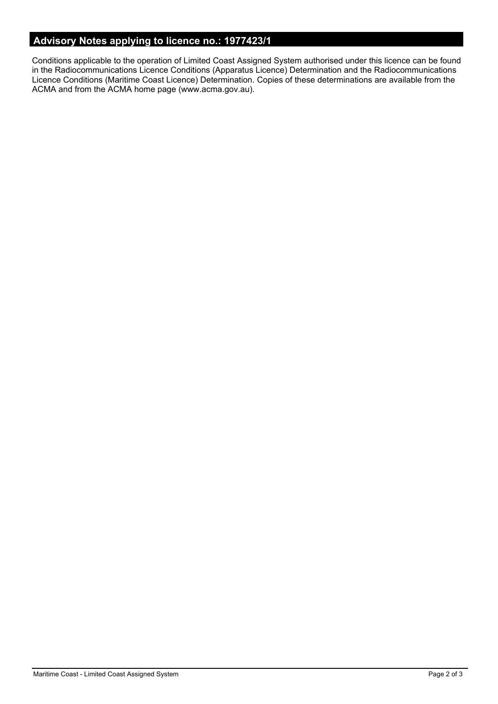# **Advisory Notes applying to licence no.: 1977423/1**

Conditions applicable to the operation of Limited Coast Assigned System authorised under this licence can be found in the Radiocommunications Licence Conditions (Apparatus Licence) Determination and the Radiocommunications Licence Conditions (Maritime Coast Licence) Determination. Copies of these determinations are available from the ACMA and from the ACMA home page (www.acma.gov.au).